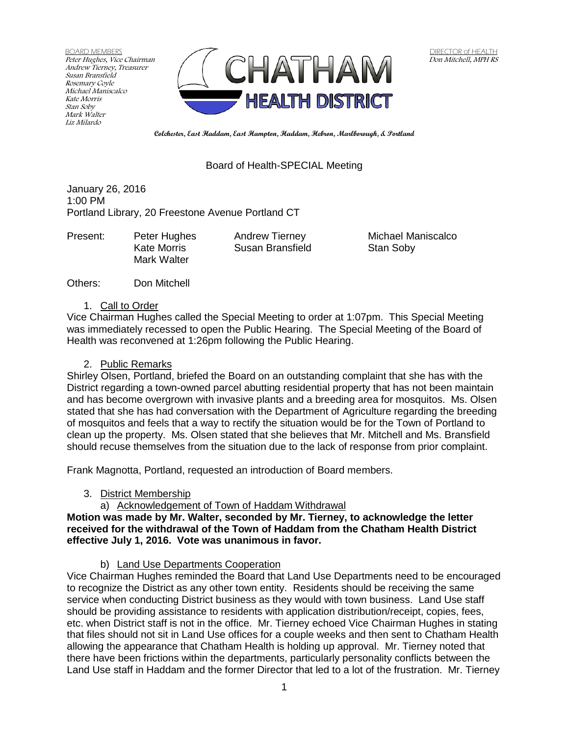BOARD MEMBERS Peter Hughes, Vice Chairman Andrew Tierney, Treasurer Susan Bransfield Rosemary Coyle Michael Maniscalco Kate Morris Stan Soby Mark Walter Liz Milardo



**Colchester, East Haddam, East Hampton, Haddam, Hebron, Marlborough, & Portland**

## Board of Health-SPECIAL Meeting

January 26, 2016 1:00 PM Portland Library, 20 Freestone Avenue Portland CT

Mark Walter

Kate Morris **Susan Bransfield** Stan Soby

Present: Peter Hughes Andrew Tierney Michael Maniscalco

Others: Don Mitchell

### 1. Call to Order

Vice Chairman Hughes called the Special Meeting to order at 1:07pm. This Special Meeting was immediately recessed to open the Public Hearing. The Special Meeting of the Board of Health was reconvened at 1:26pm following the Public Hearing.

## 2. Public Remarks

Shirley Olsen, Portland, briefed the Board on an outstanding complaint that she has with the District regarding a town-owned parcel abutting residential property that has not been maintain and has become overgrown with invasive plants and a breeding area for mosquitos. Ms. Olsen stated that she has had conversation with the Department of Agriculture regarding the breeding of mosquitos and feels that a way to rectify the situation would be for the Town of Portland to clean up the property. Ms. Olsen stated that she believes that Mr. Mitchell and Ms. Bransfield should recuse themselves from the situation due to the lack of response from prior complaint.

Frank Magnotta, Portland, requested an introduction of Board members.

3. District Membership

a) Acknowledgement of Town of Haddam Withdrawal

## **Motion was made by Mr. Walter, seconded by Mr. Tierney, to acknowledge the letter received for the withdrawal of the Town of Haddam from the Chatham Health District effective July 1, 2016. Vote was unanimous in favor.**

b) Land Use Departments Cooperation

Vice Chairman Hughes reminded the Board that Land Use Departments need to be encouraged to recognize the District as any other town entity. Residents should be receiving the same service when conducting District business as they would with town business. Land Use staff should be providing assistance to residents with application distribution/receipt, copies, fees, etc. when District staff is not in the office. Mr. Tierney echoed Vice Chairman Hughes in stating that files should not sit in Land Use offices for a couple weeks and then sent to Chatham Health allowing the appearance that Chatham Health is holding up approval. Mr. Tierney noted that there have been frictions within the departments, particularly personality conflicts between the Land Use staff in Haddam and the former Director that led to a lot of the frustration. Mr. Tierney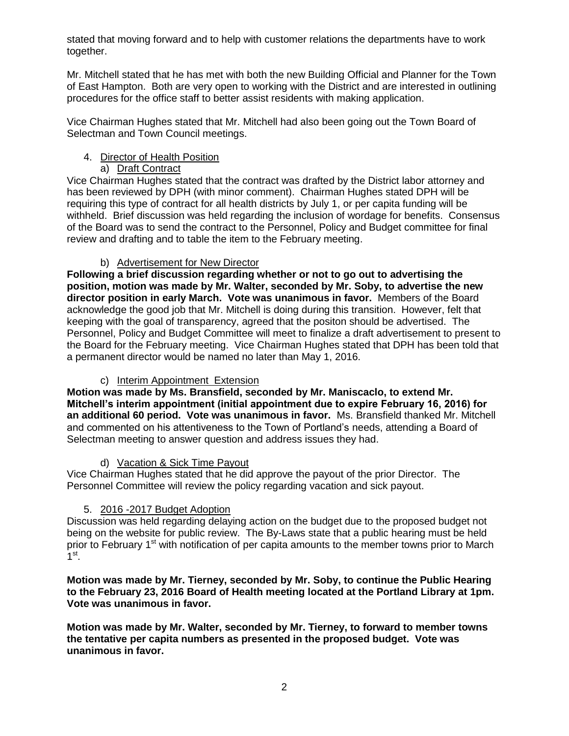stated that moving forward and to help with customer relations the departments have to work together.

Mr. Mitchell stated that he has met with both the new Building Official and Planner for the Town of East Hampton. Both are very open to working with the District and are interested in outlining procedures for the office staff to better assist residents with making application.

Vice Chairman Hughes stated that Mr. Mitchell had also been going out the Town Board of Selectman and Town Council meetings.

# 4. Director of Health Position

# a) Draft Contract

Vice Chairman Hughes stated that the contract was drafted by the District labor attorney and has been reviewed by DPH (with minor comment). Chairman Hughes stated DPH will be requiring this type of contract for all health districts by July 1, or per capita funding will be withheld. Brief discussion was held regarding the inclusion of wordage for benefits. Consensus of the Board was to send the contract to the Personnel, Policy and Budget committee for final review and drafting and to table the item to the February meeting.

# b) Advertisement for New Director

**Following a brief discussion regarding whether or not to go out to advertising the position, motion was made by Mr. Walter, seconded by Mr. Soby, to advertise the new director position in early March. Vote was unanimous in favor.** Members of the Board acknowledge the good job that Mr. Mitchell is doing during this transition. However, felt that keeping with the goal of transparency, agreed that the positon should be advertised. The Personnel, Policy and Budget Committee will meet to finalize a draft advertisement to present to the Board for the February meeting. Vice Chairman Hughes stated that DPH has been told that a permanent director would be named no later than May 1, 2016.

# c) Interim Appointment Extension

**Motion was made by Ms. Bransfield, seconded by Mr. Maniscaclo, to extend Mr. Mitchell's interim appointment (initial appointment due to expire February 16, 2016) for an additional 60 period. Vote was unanimous in favor.** Ms. Bransfield thanked Mr. Mitchell and commented on his attentiveness to the Town of Portland's needs, attending a Board of Selectman meeting to answer question and address issues they had.

# d) Vacation & Sick Time Payout

Vice Chairman Hughes stated that he did approve the payout of the prior Director. The Personnel Committee will review the policy regarding vacation and sick payout.

# 5. 2016 -2017 Budget Adoption

Discussion was held regarding delaying action on the budget due to the proposed budget not being on the website for public review. The By-Laws state that a public hearing must be held prior to February 1<sup>st</sup> with notification of per capita amounts to the member towns prior to March  $1^{\text{st}}$ .

**Motion was made by Mr. Tierney, seconded by Mr. Soby, to continue the Public Hearing to the February 23, 2016 Board of Health meeting located at the Portland Library at 1pm. Vote was unanimous in favor.** 

**Motion was made by Mr. Walter, seconded by Mr. Tierney, to forward to member towns the tentative per capita numbers as presented in the proposed budget. Vote was unanimous in favor.**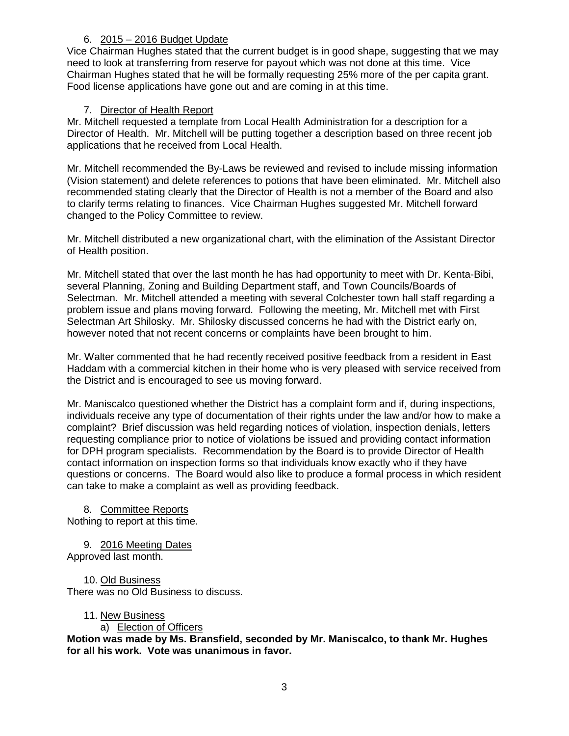## 6. 2015 – 2016 Budget Update

Vice Chairman Hughes stated that the current budget is in good shape, suggesting that we may need to look at transferring from reserve for payout which was not done at this time. Vice Chairman Hughes stated that he will be formally requesting 25% more of the per capita grant. Food license applications have gone out and are coming in at this time.

## 7. Director of Health Report

Mr. Mitchell requested a template from Local Health Administration for a description for a Director of Health. Mr. Mitchell will be putting together a description based on three recent job applications that he received from Local Health.

Mr. Mitchell recommended the By-Laws be reviewed and revised to include missing information (Vision statement) and delete references to potions that have been eliminated. Mr. Mitchell also recommended stating clearly that the Director of Health is not a member of the Board and also to clarify terms relating to finances. Vice Chairman Hughes suggested Mr. Mitchell forward changed to the Policy Committee to review.

Mr. Mitchell distributed a new organizational chart, with the elimination of the Assistant Director of Health position.

Mr. Mitchell stated that over the last month he has had opportunity to meet with Dr. Kenta-Bibi, several Planning, Zoning and Building Department staff, and Town Councils/Boards of Selectman. Mr. Mitchell attended a meeting with several Colchester town hall staff regarding a problem issue and plans moving forward. Following the meeting, Mr. Mitchell met with First Selectman Art Shilosky. Mr. Shilosky discussed concerns he had with the District early on, however noted that not recent concerns or complaints have been brought to him.

Mr. Walter commented that he had recently received positive feedback from a resident in East Haddam with a commercial kitchen in their home who is very pleased with service received from the District and is encouraged to see us moving forward.

Mr. Maniscalco questioned whether the District has a complaint form and if, during inspections, individuals receive any type of documentation of their rights under the law and/or how to make a complaint? Brief discussion was held regarding notices of violation, inspection denials, letters requesting compliance prior to notice of violations be issued and providing contact information for DPH program specialists. Recommendation by the Board is to provide Director of Health contact information on inspection forms so that individuals know exactly who if they have questions or concerns. The Board would also like to produce a formal process in which resident can take to make a complaint as well as providing feedback.

8. Committee Reports Nothing to report at this time.

9. 2016 Meeting Dates Approved last month.

10. Old Business There was no Old Business to discuss.

## 11. New Business

## a) Election of Officers

**Motion was made by Ms. Bransfield, seconded by Mr. Maniscalco, to thank Mr. Hughes for all his work. Vote was unanimous in favor.**